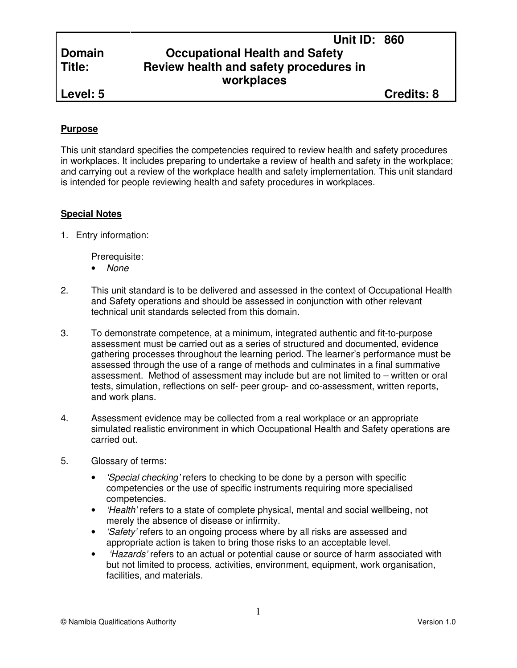# **Domain Occupational Health and Safety Title: Review health and safety procedures in workplaces**

**Level: 5 Credits: 8**

### **Purpose**

This unit standard specifies the competencies required to review health and safety procedures in workplaces. It includes preparing to undertake a review of health and safety in the workplace; and carrying out a review of the workplace health and safety implementation. This unit standard is intended for people reviewing health and safety procedures in workplaces.

### **Special Notes**

1. Entry information:

Prerequisite:

- None
- 2. This unit standard is to be delivered and assessed in the context of Occupational Health and Safety operations and should be assessed in conjunction with other relevant technical unit standards selected from this domain.
- 3. To demonstrate competence, at a minimum, integrated authentic and fit-to-purpose assessment must be carried out as a series of structured and documented, evidence gathering processes throughout the learning period. The learner's performance must be assessed through the use of a range of methods and culminates in a final summative assessment. Method of assessment may include but are not limited to – written or oral tests, simulation, reflections on self- peer group- and co-assessment, written reports, and work plans.
- 4. Assessment evidence may be collected from a real workplace or an appropriate simulated realistic environment in which Occupational Health and Safety operations are carried out.
- 5. Glossary of terms:
	- *'Special checking'* refers to checking to be done by a person with specific competencies or the use of specific instruments requiring more specialised competencies.
	- *Health'* refers to a state of complete physical, mental and social wellbeing, not merely the absence of disease or infirmity.
	- *'Safety'* refers to an ongoing process where by all risks are assessed and appropriate action is taken to bring those risks to an acceptable level.
	- *Hazards* refers to an actual or potential cause or source of harm associated with but not limited to process, activities, environment, equipment, work organisation, facilities, and materials.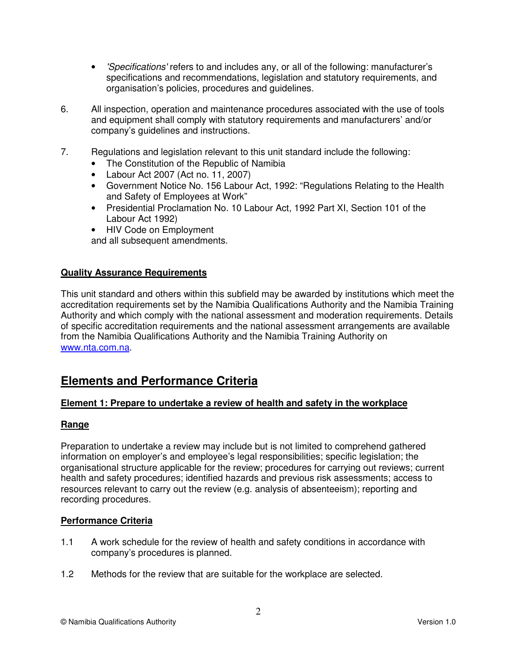- 'Specifications' refers to and includes any, or all of the following: manufacturer's specifications and recommendations, legislation and statutory requirements, and organisation's policies, procedures and guidelines.
- 6. All inspection, operation and maintenance procedures associated with the use of tools and equipment shall comply with statutory requirements and manufacturers' and/or company's guidelines and instructions.
- 7. Regulations and legislation relevant to this unit standard include the following:
	- The Constitution of the Republic of Namibia
	- Labour Act 2007 (Act no. 11, 2007)
	- Government Notice No. 156 Labour Act, 1992: "Regulations Relating to the Health and Safety of Employees at Work"
	- Presidential Proclamation No. 10 Labour Act, 1992 Part XI, Section 101 of the Labour Act 1992)
	- HIV Code on Employment

and all subsequent amendments.

#### **Quality Assurance Requirements**

This unit standard and others within this subfield may be awarded by institutions which meet the accreditation requirements set by the Namibia Qualifications Authority and the Namibia Training Authority and which comply with the national assessment and moderation requirements. Details of specific accreditation requirements and the national assessment arrangements are available from the Namibia Qualifications Authority and the Namibia Training Authority on www.nta.com.na.

## **Elements and Performance Criteria**

#### **Element 1: Prepare to undertake a review of health and safety in the workplace**

#### **Range**

Preparation to undertake a review may include but is not limited to comprehend gathered information on employer's and employee's legal responsibilities; specific legislation; the organisational structure applicable for the review; procedures for carrying out reviews; current health and safety procedures; identified hazards and previous risk assessments; access to resources relevant to carry out the review (e.g. analysis of absenteeism); reporting and recording procedures.

#### **Performance Criteria**

- 1.1 A work schedule for the review of health and safety conditions in accordance with company's procedures is planned.
- 1.2 Methods for the review that are suitable for the workplace are selected.